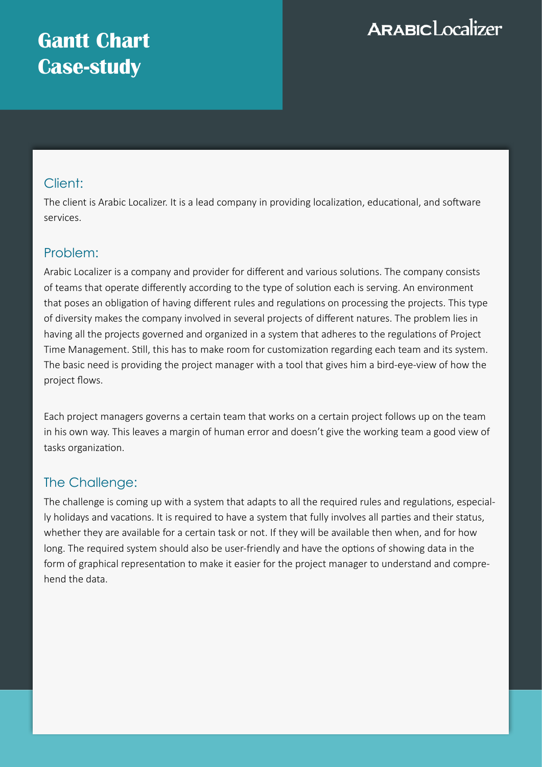# **Gantt Chart Case-study**

# **ARABICLocalizer**

### Client:

The client is Arabic Localizer. It is a lead company in providing localization, educational, and software services.

## Problem:

Arabic Localizer is a company and provider for different and various solutions. The company consists of teams that operate differently according to the type of solution each is serving. An environment that poses an obligation of having different rules and regulations on processing the projects. This type of diversity makes the company involved in several projects of different natures. The problem lies in having all the projects governed and organized in a system that adheres to the regulations of Project Time Management. Still, this has to make room for customization regarding each team and its system. The basic need is providing the project manager with a tool that gives him a bird-eye-view of how the project flows.

Each project managers governs a certain team that works on a certain project follows up on the team in his own way. This leaves a margin of human error and doesn't give the working team a good view of tasks organization.

# The Challenge:

The challenge is coming up with a system that adapts to all the required rules and regulations, especially holidays and vacations. It is required to have a system that fully involves all parties and their status, whether they are available for a certain task or not. If they will be available then when, and for how long. The required system should also be user-friendly and have the options of showing data in the form of graphical representation to make it easier for the project manager to understand and comprehend the data.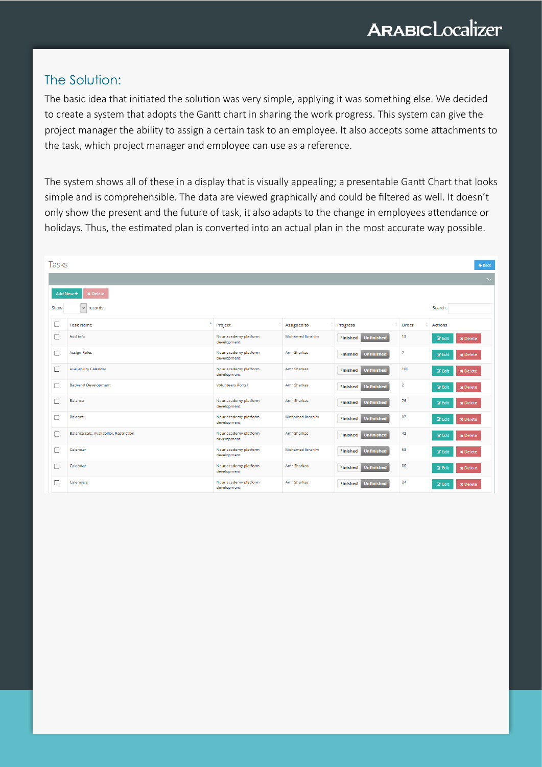### The Solution:

The basic idea that initiated the solution was very simple, applying it was something else. We decided to create a system that adopts the Gantt chart in sharing the work progress. This system can give the project manager the ability to assign a certain task to an employee. It also accepts some attachments to the task, which project manager and employee can use as a reference.

The system shows all of these in a display that is visually appealing; a presentable Gantt Chart that looks simple and is comprehensible. The data are viewed graphically and could be filtered as well. It doesn't only show the present and the future of task, it also adapts to the change in employees attendance or holidays. Thus, the estimated plan is converted into an actual plan in the most accurate way possible.

| Tasks     |                                         |                                      |                        |                                      |                         | $\leftarrow$ Back                    |
|-----------|-----------------------------------------|--------------------------------------|------------------------|--------------------------------------|-------------------------|--------------------------------------|
|           |                                         |                                      |                        |                                      |                         | $\checkmark$                         |
| Add New + | <b>x</b> Delete                         |                                      |                        |                                      |                         |                                      |
| Show      | $\vee$ records                          |                                      |                        |                                      |                         | Search:                              |
| ⊔         | ٨<br><b>Task Name</b>                   | Project                              | <b>Assigned to</b>     | <b>Progress</b>                      | Order                   | <b>Actions</b>                       |
| □         | Add info                                | Nour academy platform<br>development | <b>Mohamed Ibrahim</b> | <b>Unfinished</b><br><b>Finished</b> | 13                      | <b>E</b> Edit<br><b>x</b> Delete     |
| □         | <b>Assign Roles</b>                     | Nour academy platform<br>development | Amr Sharkas            | <b>Unfinished</b><br><b>Finished</b> | 7                       | x Delete<br><b>R</b> Edit            |
| □         | <b>Availability Calendar</b>            | Nour academy platform<br>development | Amr Sharkas            | <b>Unfinished</b><br><b>Finished</b> | 100                     | <b>C</b> Edit<br><b>x</b> Delete     |
| □         | <b>Backend Development</b>              | <b>Volunteers Portal</b>             | <b>Amr Sharkas</b>     | <b>Unfinished</b><br><b>Finished</b> | $\overline{\mathbf{2}}$ | x Delete<br><b>R</b> Edit            |
| П         | <b>Balance</b>                          | Nour academy platform<br>development | <b>Amr Sharkas</b>     | <b>Unfinished</b><br><b>Finished</b> | 76                      | $\mathbb{Z}$ Edit<br>x Delete        |
| □         | Balance                                 | Nour academy platform<br>development | <b>Mohamed Ibrahim</b> | <b>Unfinished</b><br><b>Finished</b> | 87                      | $\mathbb{Z}$ Edit<br><b>x</b> Delete |
| □         | Balance calc, Availability, Restriction | Nour academy platform<br>development | Amr Sharkas            | <b>Unfinished</b><br><b>Finished</b> | 42                      | $\mathbb{Z}$ Edit<br><b>x</b> Delete |
| □         | Calendar                                | Nour academy platform<br>development | Mohamed Ibrahim        | <b>Unfinished</b><br><b>Finished</b> | 53                      | <b>C</b> Edit<br><b>x</b> Delete     |
| □         | Calendar                                | Nour academy platform<br>development | Amr Sharkas            | <b>Unfinished</b><br><b>Finished</b> | 80                      | <b>R</b> Edit<br><b>x</b> Delete     |
| □         | Calendars                               | Nour academy platform<br>development | <b>Amr Sharkas</b>     | <b>Unfinished</b><br><b>Finished</b> | 34                      | <b>E</b> Edit<br><b>x</b> Delete     |